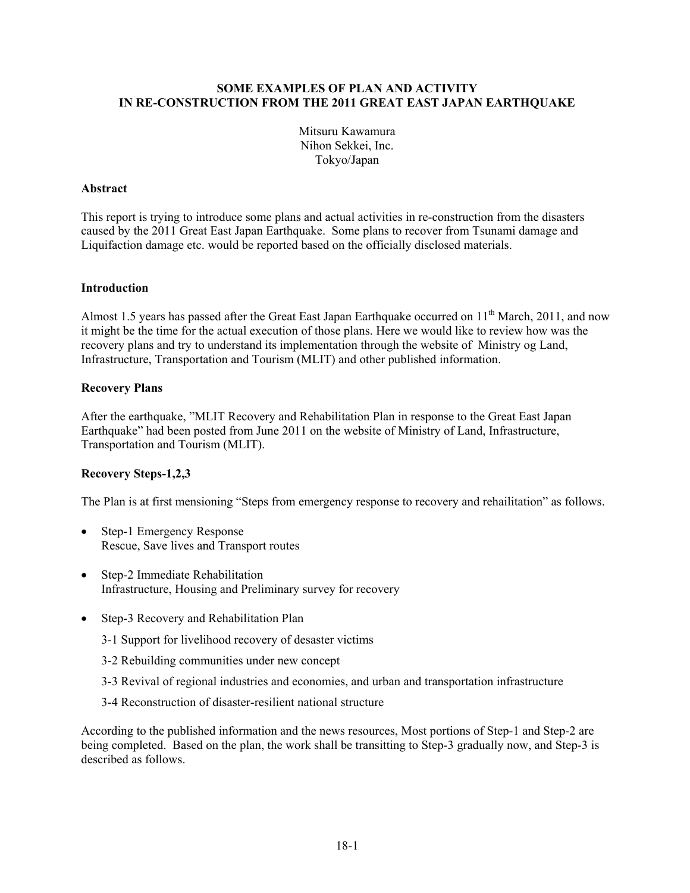#### **SOME EXAMPLES OF PLAN AND ACTIVITY IN RE-CONSTRUCTION FROM THE 2011 GREAT EAST JAPAN EARTHQUAKE**

Mitsuru Kawamura Nihon Sekkei, Inc. Tokyo/Japan

#### **Abstract**

This report is trying to introduce some plans and actual activities in re-construction from the disasters caused by the 2011 Great East Japan Earthquake. Some plans to recover from Tsunami damage and Liquifaction damage etc. would be reported based on the officially disclosed materials.

#### **Introduction**

Almost 1.5 years has passed after the Great East Japan Earthquake occurred on  $11<sup>th</sup>$  March, 2011, and now it might be the time for the actual execution of those plans. Here we would like to review how was the recovery plans and try to understand its implementation through the website of Ministry og Land, Infrastructure, Transportation and Tourism (MLIT) and other published information.

#### **Recovery Plans**

After the earthquake, "MLIT Recovery and Rehabilitation Plan in response to the Great East Japan Earthquake" had been posted from June 2011 on the website of Ministry of Land, Infrastructure, Transportation and Tourism (MLIT).

#### **Recovery Steps-1,2,3**

The Plan is at first mensioning "Steps from emergency response to recovery and rehailitation" as follows.

- Step-1 Emergency Response Rescue, Save lives and Transport routes
- Step-2 Immediate Rehabilitation Infrastructure, Housing and Preliminary survey for recovery
- Step-3 Recovery and Rehabilitation Plan
	- 3-1 Support for livelihood recovery of desaster victims
	- 3-2 Rebuilding communities under new concept
	- 3-3 Revival of regional industries and economies, and urban and transportation infrastructure
	- 3-4 Reconstruction of disaster-resilient national structure

According to the published information and the news resources, Most portions of Step-1 and Step-2 are being completed. Based on the plan, the work shall be transitting to Step-3 gradually now, and Step-3 is described as follows.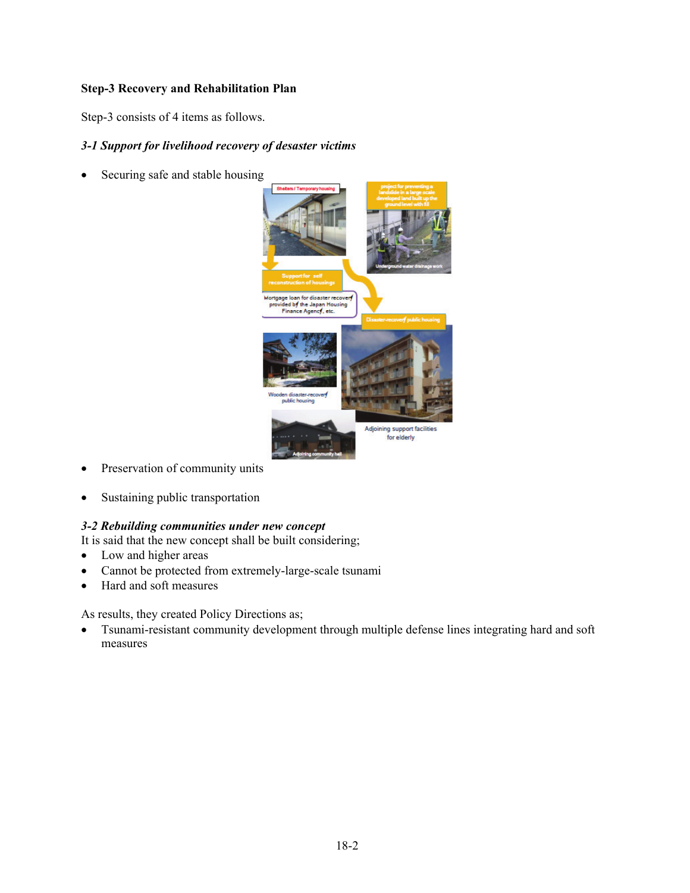### **Step-3 Recovery and Rehabilitation Plan**

Step-3 consists of 4 items as follows.

## *3-1 Support for livelihood recovery of desaster victims*

• Securing safe and stable housing



- Preservation of community units
- Sustaining public transportation

# *3-2 Rebuilding communities under new concept*

It is said that the new concept shall be built considering;

- Low and higher areas
- Cannot be protected from extremely-large-scale tsunami
- Hard and soft measures

As results, they created Policy Directions as;

 Tsunami-resistant community development through multiple defense lines integrating hard and soft measures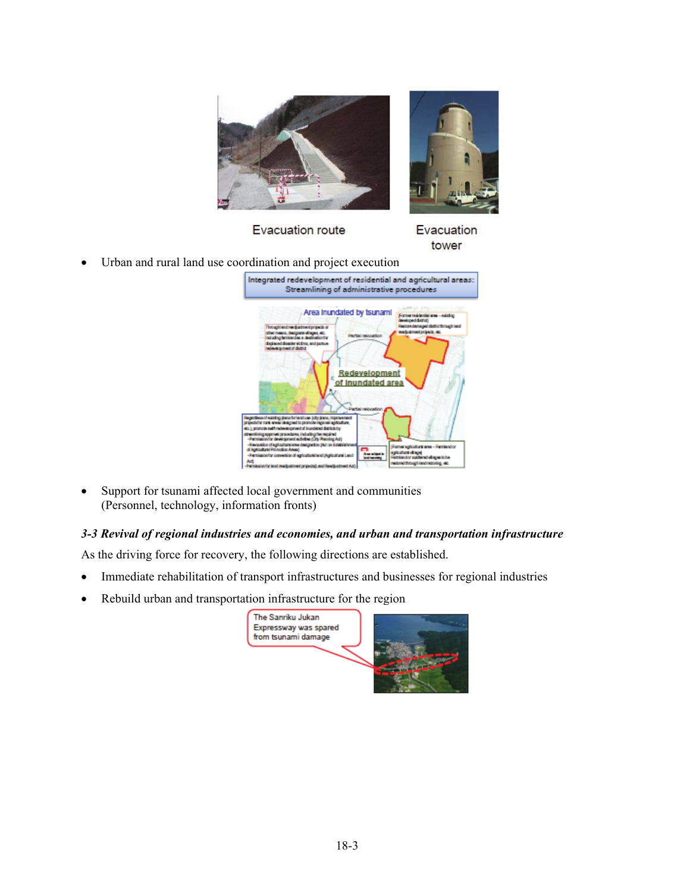

**Evacuation route** 

Evacuation tower

Urban and rural land use coordination and project execution



• Support for tsunami affected local government and communities (Personnel, technology, information fronts)

# *3-3 Revival of regional industries and economies, and urban and transportation infrastructure*

As the driving force for recovery, the following directions are established.

- Immediate rehabilitation of transport infrastructures and businesses for regional industries
- Rebuild urban and transportation infrastructure for the region

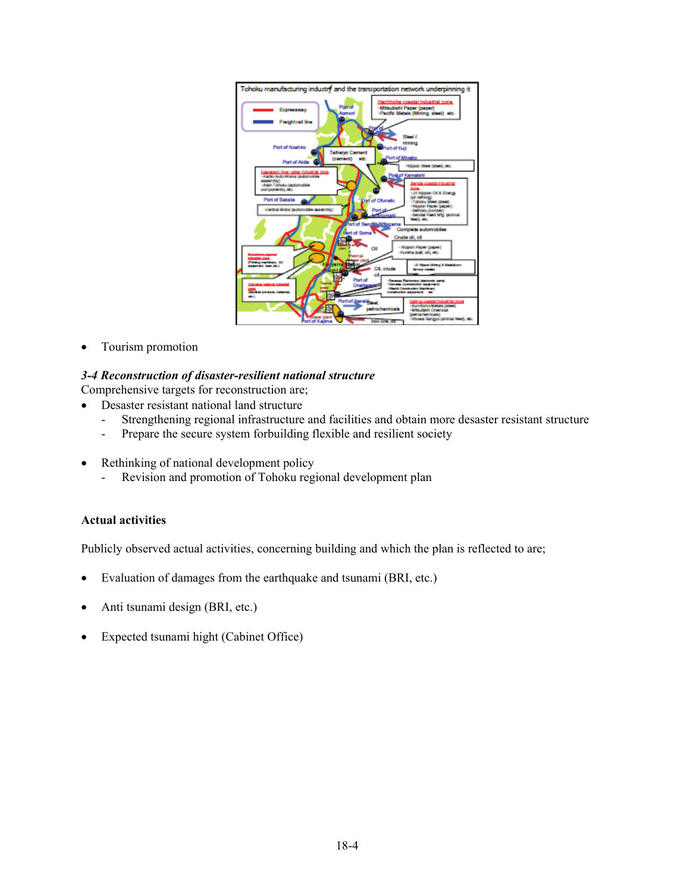

• Tourism promotion

### *3-4 Reconstruction of disaster-resilient national structure*

Comprehensive targets for reconstruction are;

- Desaster resistant national land structure
	- Strengthening regional infrastructure and facilities and obtain more desaster resistant structure
	- Prepare the secure system forbuilding flexible and resilient society
- Rethinking of national development policy
	- Revision and promotion of Tohoku regional development plan

#### **Actual activities**

Publicly observed actual activities, concerning building and which the plan is reflected to are;

- Evaluation of damages from the earthquake and tsunami (BRI, etc.)
- Anti tsunami design (BRI, etc.)
- Expected tsunami hight (Cabinet Office)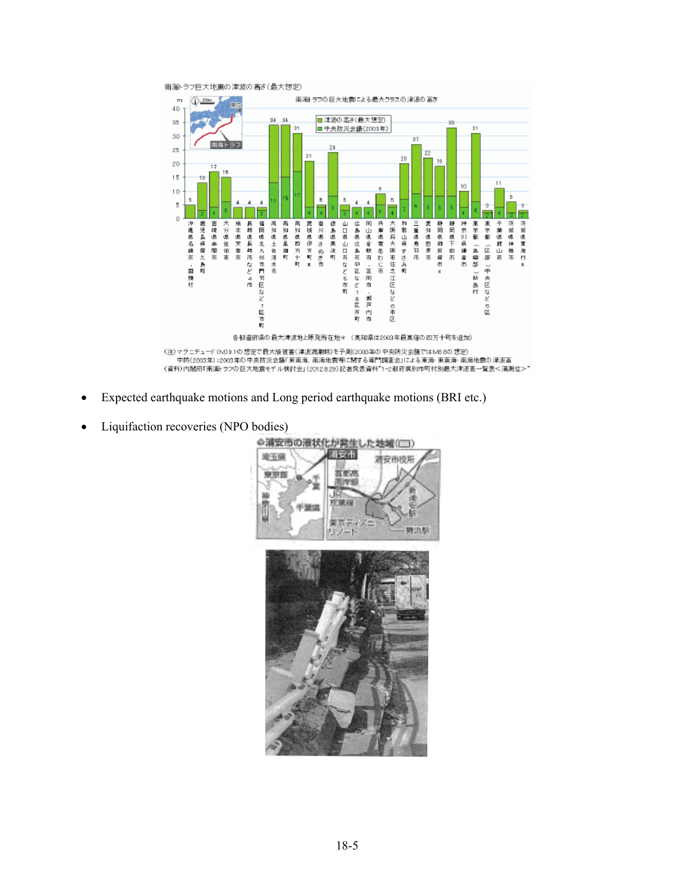

- Expected earthquake motions and Long period earthquake motions (BRI etc.)
- Liquifaction recoveries (NPO bodies)